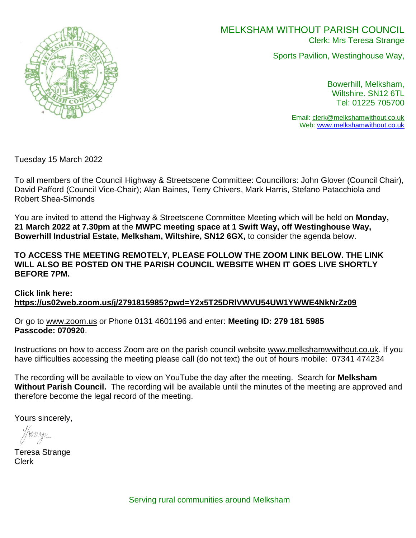

# MELKSHAM WITHOUT PARISH COUNCIL Clerk: Mrs Teresa Strange

Sports Pavilion, Westinghouse Way,

Bowerhill, Melksham, Wiltshire. SN12 6TL Tel: 01225 705700

Email: [clerk@melkshamwithout.co.uk](mailto:clerk@melkshamwithout.co.uk) Web: [www.melkshamwithout.co.uk](http://www.melkshamwithout.co.uk/)

Tuesday 15 March 2022

To all members of the Council Highway & Streetscene Committee: Councillors: John Glover (Council Chair), David Pafford (Council Vice-Chair); Alan Baines, Terry Chivers, Mark Harris, Stefano Patacchiola and Robert Shea-Simonds

You are invited to attend the Highway & Streetscene Committee Meeting which will be held on **Monday, 21 March 2022 at 7.30pm at** the **MWPC meeting space at 1 Swift Way, off Westinghouse Way, Bowerhill Industrial Estate, Melksham, Wiltshire, SN12 6GX,** to consider the agenda below.

**TO ACCESS THE MEETING REMOTELY, PLEASE FOLLOW THE ZOOM LINK BELOW. THE LINK WILL ALSO BE POSTED ON THE PARISH COUNCIL WEBSITE WHEN IT GOES LIVE SHORTLY BEFORE 7PM.** 

**Click link here: <https://us02web.zoom.us/j/2791815985?pwd=Y2x5T25DRlVWVU54UW1YWWE4NkNrZz09>**

Or go to [www.zoom.us](http://www.zoom.us/) or Phone 0131 4601196 and enter: **Meeting ID: 279 181 5985 Passcode: 070920**.

Instructions on how to access Zoom are on the parish council website [www.melkshamwwithout.co.uk.](http://www.melkshamwwithout.co.uk/) If you have difficulties accessing the meeting please call (do not text) the out of hours mobile: 07341 474234

The recording will be available to view on YouTube the day after the meeting. Search for **Melksham Without Parish Council.** The recording will be available until the minutes of the meeting are approved and therefore become the legal record of the meeting.

Yours sincerely,

Teresa Strange Clerk

Serving rural communities around Melksham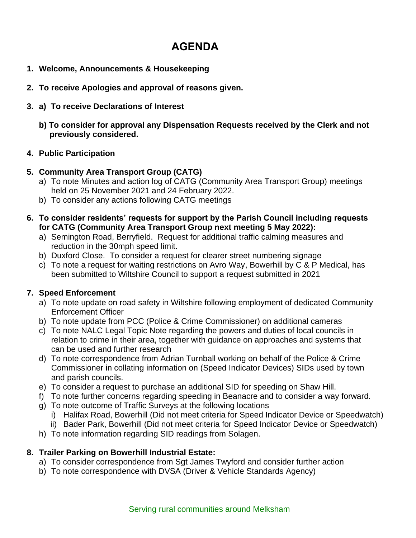# **AGENDA**

- **1. Welcome, Announcements & Housekeeping**
- **2. To receive Apologies and approval of reasons given.**
- **3. a) To receive Declarations of Interest**
	- **b) To consider for approval any Dispensation Requests received by the Clerk and not previously considered.**

#### **4. Public Participation**

#### **5. Community Area Transport Group (CATG)**

- a) To note Minutes and action log of CATG (Community Area Transport Group) meetings held on 25 November 2021 and 24 February 2022.
- b) To consider any actions following CATG meetings
- **6. To consider residents' requests for support by the Parish Council including requests for CATG (Community Area Transport Group next meeting 5 May 2022):**
	- a) Semington Road, Berryfield. Request for additional traffic calming measures and reduction in the 30mph speed limit.
	- b) Duxford Close. To consider a request for clearer street numbering signage
	- c) To note a request for waiting restrictions on Avro Way, Bowerhill by C & P Medical, has been submitted to Wiltshire Council to support a request submitted in 2021

# **7. Speed Enforcement**

- a) To note update on road safety in Wiltshire following employment of dedicated Community Enforcement Officer
- b) To note update from PCC (Police & Crime Commissioner) on additional cameras
- c) To note NALC Legal Topic Note regarding the powers and duties of local councils in relation to crime in their area, together with guidance on approaches and systems that can be used and further research
- d) To note correspondence from Adrian Turnball working on behalf of the Police & Crime Commissioner in collating information on (Speed Indicator Devices) SIDs used by town and parish councils.
- e) To consider a request to purchase an additional SID for speeding on Shaw Hill.
- f) To note further concerns regarding speeding in Beanacre and to consider a way forward.
- g) To note outcome of Traffic Surveys at the following locations
	- i) Halifax Road, Bowerhill (Did not meet criteria for Speed Indicator Device or Speedwatch)
	- ii) Bader Park, Bowerhill (Did not meet criteria for Speed Indicator Device or Speedwatch)
- h) To note information regarding SID readings from Solagen.

# **8. Trailer Parking on Bowerhill Industrial Estate:**

- a) To consider correspondence from Sgt James Twyford and consider further action
- b) To note correspondence with DVSA (Driver & Vehicle Standards Agency)